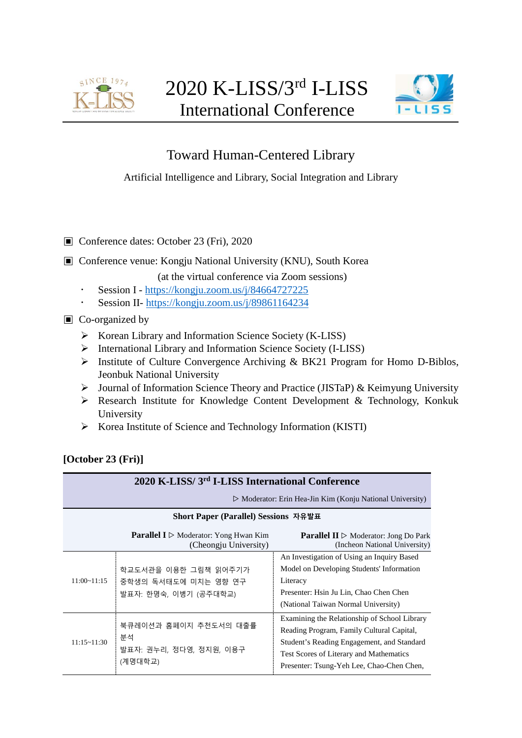



## Toward Human-Centered Library

Artificial Intelligence and Library, Social Integration and Library

- ▣ Conference dates: October 23 (Fri), 2020
- ▣ Conference venue: Kongju National University (KNU), South Korea

(at the virtual conference via Zoom sessions)

- Session I <https://kongju.zoom.us/j/84664727225>
- Session II- <https://kongju.zoom.us/j/89861164234>
- ▣ Co-organized by
	- $\triangleright$  Korean Library and Information Science Society (K-LISS)
	- International Library and Information Science Society (I-LISS)
	- Institute of Culture Convergence Archiving & BK21 Program for Homo D-Biblos, Jeonbuk National University
	- $\triangleright$  Journal of Information Science Theory and Practice (JISTaP) & Keimyung University
	- $\triangleright$  Research Institute for Knowledge Content Development & Technology, Konkuk University
	- $\triangleright$  Korea Institute of Science and Technology Information (KISTI)

| [October 23 (Fri)] |  |
|--------------------|--|
|                    |  |

| 2020 K-LISS/3 <sup>rd</sup> I-LISS International Conference |                                                                                      |                                                                                                                                                                                                                                 |  |
|-------------------------------------------------------------|--------------------------------------------------------------------------------------|---------------------------------------------------------------------------------------------------------------------------------------------------------------------------------------------------------------------------------|--|
|                                                             | $\triangleright$ Moderator: Erin Hea-Jin Kim (Konju National University)             |                                                                                                                                                                                                                                 |  |
|                                                             | Short Paper (Parallel) Sessions 자유발표                                                 |                                                                                                                                                                                                                                 |  |
|                                                             | <b>Parallel I</b> $\triangleright$ Moderator: Yong Hwan Kim<br>(Cheongju University) | <b>Parallel II</b> $\triangleright$ Moderator: Jong Do Park<br>(Incheon National University)                                                                                                                                    |  |
| $11:00 - 11:15$                                             | 학교도서관을 이용한 그림책 읽어주기가<br>중학생의 독서태도에 미치는 영향 연구<br>발표자: 한명숙, 이병기 (공주대학교)                | An Investigation of Using an Inquiry Based<br>Model on Developing Students' Information<br>Literacy<br>Presenter: Hsin Ju Lin, Chao Chen Chen<br>(National Taiwan Normal University)                                            |  |
| 11:15~11:30                                                 | 북큐레이션과 홈페이지 추천도서의 대출률<br>분석<br>발표자: 권누리, 정다영, 정지원, 이용구<br>(계명대학교)                    | Examining the Relationship of School Library<br>Reading Program, Family Cultural Capital,<br>Student's Reading Engagement, and Standard<br>Test Scores of Literary and Mathematics<br>Presenter: Tsung-Yeh Lee, Chao-Chen Chen, |  |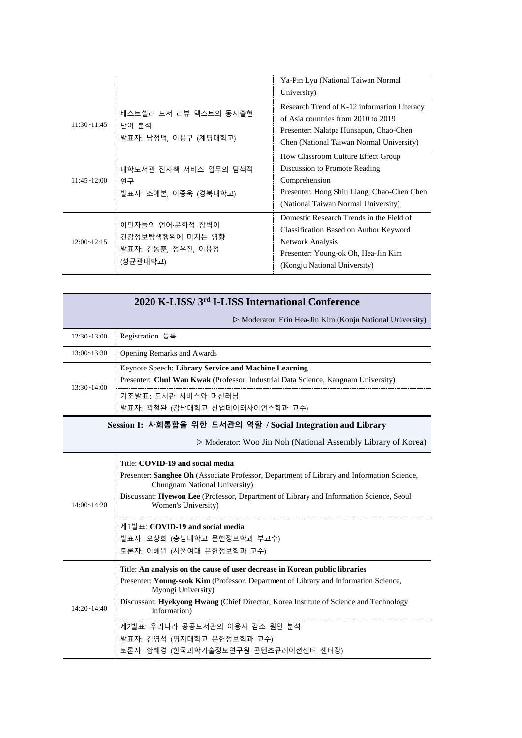|                    |                                                                        | Ya-Pin Lyu (National Taiwan Normal<br>University)                                                                                                                             |
|--------------------|------------------------------------------------------------------------|-------------------------------------------------------------------------------------------------------------------------------------------------------------------------------|
| $11:30 - 11:45$    | 베스트셀러 도서 리뷰 텍스트의 동시출현<br>단어 부석<br>발표자: 남정덕, 이용구 (계명대학교)                | Research Trend of K-12 information Literacy<br>of Asia countries from 2010 to 2019<br>Presenter: Nalatpa Hunsapun, Chao-Chen<br>Chen (National Taiwan Normal University)      |
| $11:45 \sim 12:00$ | 대학도서관 전자책 서비스 업무의 탐색적<br>연구<br>발표자: 조예본, 이종욱 (경북대학교)                   | How Classroom Culture Effect Group<br>Discussion to Promote Reading<br>Comprehension<br>Presenter: Hong Shiu Liang, Chao-Chen Chen<br>(National Taiwan Normal University)     |
| $12:00 \sim 12:15$ | 이민자들의 언어 무화적 장벽이<br>건강정보탐색행위에 미치는 영향<br>발표자: 김동훈, 정우진, 이용정<br>(성균관대학교) | Domestic Research Trends in the Field of<br>Classification Based on Author Keyword<br>Network Analysis<br>Presenter: Young-ok Oh, Hea-Jin Kim<br>(Kongju National University) |

| 2020 K-LISS/3 <sup>rd</sup> I-LISS International Conference |  |  |
|-------------------------------------------------------------|--|--|
|                                                             |  |  |

▷ Moderator: Erin Hea-Jin Kim (Konju National University)

| 12:30~13:00 | Registration 등록                                                                                                                           |
|-------------|-------------------------------------------------------------------------------------------------------------------------------------------|
| 13:00~13:30 | <b>Opening Remarks and Awards</b>                                                                                                         |
| 13:30~14:00 | Keynote Speech: Library Service and Machine Learning<br>Presenter: Chul Wan Kwak (Professor, Industrial Data Science, Kangnam University) |
|             | 기조발표: 도서관 서비스와 머신러닝<br>발표자: 곽철완 (강남대학교 산업데이터사이언스학과 교수)                                                                                    |

## **Session Ⅰ: 사회통합을 위한 도서관의 역할 / Social Integration and Library**

▷ Moderator: Woo Jin Noh (National Assembly Library of Korea)

| $14:00 \sim 14:20$ | Title: COVID-19 and social media<br>Presenter: Sanghee Oh (Associate Professor, Department of Library and Information Science,<br>Chungnam National University)<br>Discussant: Hyewon Lee (Professor, Department of Library and Information Science, Seoul<br>Women's University)                  |
|--------------------|----------------------------------------------------------------------------------------------------------------------------------------------------------------------------------------------------------------------------------------------------------------------------------------------------|
|                    | 제1발표: COVID-19 and social media<br>발표자: 오상희 (충남대학교 문헌정보학과 부교수)<br>토론자: 이혜원 (서울여대 문헌정보학과 교수)                                                                                                                                                                                                        |
| $14.20 - 14.40$    | Title: An analysis on the cause of user decrease in Korean public libraries<br>Presenter: Young-seok Kim (Professor, Department of Library and Information Science,<br>Myongi University)<br>Discussant: Hyekyong Hwang (Chief Director, Korea Institute of Science and Technology<br>Information) |
|                    | 제2발표: 우리나라 공공도서관의 이용자 감소 원인 분석<br>발표자: 김영석 (명지대학교 문헌정보학과 교수)<br>토론자: 황혜경 (한국과학기술정보연구원 콘텐츠큐레이션센터 센터장)                                                                                                                                                                                               |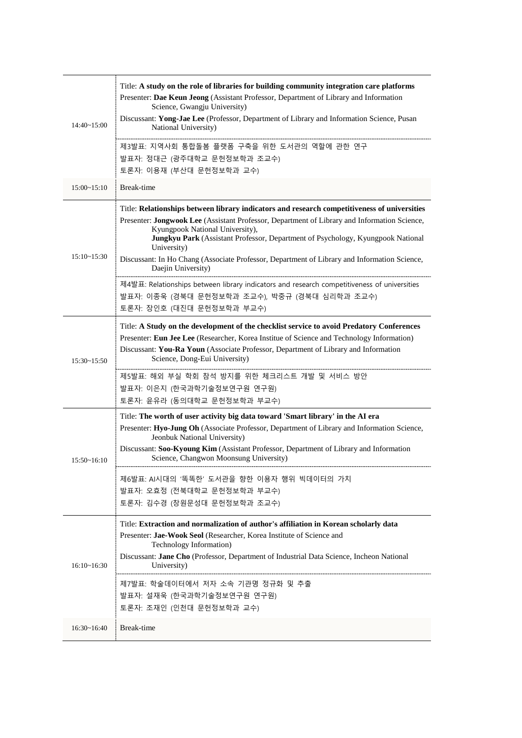| $14:40 \sim 15:00$ | Title: A study on the role of libraries for building community integration care platforms<br>Presenter: Dae Keun Jeong (Assistant Professor, Department of Library and Information<br>Science, Gwangju University) |
|--------------------|--------------------------------------------------------------------------------------------------------------------------------------------------------------------------------------------------------------------|
|                    | Discussant: Yong-Jae Lee (Professor, Department of Library and Information Science, Pusan<br>National University)                                                                                                  |
|                    | 제3발표: 지역사회 통합돌봄 플랫폼 구축을 위한 도서관의 역할에 관한 연구                                                                                                                                                                          |
|                    | 발표자: 정대근 (광주대학교 문헌정보학과 조교수)                                                                                                                                                                                        |
|                    | 토론자: 이용재 (부산대 문헌정보학과 교수)                                                                                                                                                                                           |
| 15:00~15:10        | Break-time                                                                                                                                                                                                         |
|                    | Title: Relationships between library indicators and research competitiveness of universities<br>Presenter: Jongwook Lee (Assistant Professor, Department of Library and Information Science,                       |
|                    | Kyungpook National University),<br>Jungkyu Park (Assistant Professor, Department of Psychology, Kyungpook National<br>University)                                                                                  |
| 15:10~15:30        | Discussant: In Ho Chang (Associate Professor, Department of Library and Information Science,<br>Daejin University)                                                                                                 |
|                    | 제4발표: Relationships between library indicators and research competitiveness of universities                                                                                                                        |
|                    | 발표자: 이종욱 (경북대 문헌정보학과 조교수), 박중규 (경북대 심리학과 조교수)                                                                                                                                                                      |
|                    | 토론자: 장인호 (대진대 문헌정보학과 부교수)                                                                                                                                                                                          |
|                    | Title: A Study on the development of the checklist service to avoid Predatory Conferences                                                                                                                          |
|                    | Presenter: Eun Jee Lee (Researcher, Korea Institue of Science and Technology Information)                                                                                                                          |
| $15:30 - 15:50$    | Discussant: You-Ra Youn (Associate Professor, Department of Library and Information<br>Science, Dong-Eui University)                                                                                               |
|                    | 제5발표: 해외 부실 학회 참석 방지를 위한 체크리스트 개발 및 서비스 방안                                                                                                                                                                         |
|                    | 발표자: 이은지 (한국과학기술정보연구원 연구원)                                                                                                                                                                                         |
|                    | 토론자: 윤유라 (동의대학교 문헌정보학과 부교수)                                                                                                                                                                                        |
|                    | Title: The worth of user activity big data toward 'Smart library' in the AI era                                                                                                                                    |
|                    | Presenter: Hyo-Jung Oh (Associate Professor, Department of Library and Information Science,<br>Jeonbuk National University)                                                                                        |
| 15:50~16:10        | Discussant: Soo-Kyoung Kim (Assistant Professor, Department of Library and Information<br>Science, Changwon Moonsung University)                                                                                   |
|                    | 제6발표: AI시대의 '똑똑한' 도서관을 향한 이용자 행위 빅데이터의 가치                                                                                                                                                                          |
|                    | 발표자: 오효정 (전북대학교 문헌정보학과 부교수)                                                                                                                                                                                        |
|                    | 토론자: 김수경 (창원문성대 문헌정보학과 조교수)                                                                                                                                                                                        |
|                    | Title: Extraction and normalization of author's affiliation in Korean scholarly data                                                                                                                               |
| 16:10~16:30        | Presenter: Jae-Wook Seol (Researcher, Korea Institute of Science and<br>Technology Information)                                                                                                                    |
|                    | Discussant: Jane Cho (Professor, Department of Industrial Data Science, Incheon National<br>University)                                                                                                            |
|                    | 제7발표: 학술데이터에서 저자 소속 기관명 정규화 및 추출                                                                                                                                                                                   |
|                    | 발표자: 설재욱 (한국과학기술정보연구원 연구원)                                                                                                                                                                                         |
|                    | 토론자: 조재인 (인천대 문헌정보학과 교수)                                                                                                                                                                                           |
| 16:30~16:40        | Break-time                                                                                                                                                                                                         |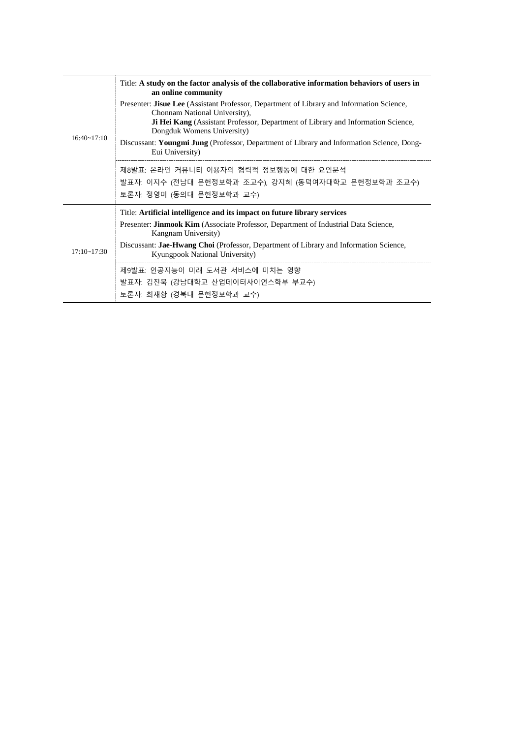|                    | Title: A study on the factor analysis of the collaborative information behaviors of users in<br>an online community                                                                                                                          |
|--------------------|----------------------------------------------------------------------------------------------------------------------------------------------------------------------------------------------------------------------------------------------|
| $16:40 \sim 17:10$ | Presenter: Jisue Lee (Assistant Professor, Department of Library and Information Science,<br>Chonnam National University),<br>Ji Hei Kang (Assistant Professor, Department of Library and Information Science,<br>Dongduk Womens University) |
|                    | Discussant: Youngmi Jung (Professor, Department of Library and Information Science, Dong-<br>Eui University)                                                                                                                                 |
|                    | 제8발표: 온라인 커뮤니티 이용자의 협력적 정보행동에 대한 요인분석                                                                                                                                                                                                        |
|                    | 발표자: 이지수 (전남대 문헌정보학과 조교수), 강지혜 (동덕여자대학교 문헌정보학과 조교수)                                                                                                                                                                                          |
|                    | 토론자: 정영미 (동의대 문헌정보학과 교수)                                                                                                                                                                                                                     |
|                    | Title: Artificial intelligence and its impact on future library services                                                                                                                                                                     |
| $17:10 - 17:30$    | Presenter: <b>Jinmook Kim</b> (Associate Professor, Department of Industrial Data Science,<br>Kangnam University)                                                                                                                            |
|                    | Discussant: Jae-Hwang Choi (Professor, Department of Library and Information Science,<br>Kyungpook National University)                                                                                                                      |
|                    | 제9발표: 인공지능이 미래 도서관 서비스에 미치는 영향                                                                                                                                                                                                               |
|                    | 발표자: 김진묵 (강남대학교 산업데이터사이언스학부 부교수)                                                                                                                                                                                                             |
|                    | 토론자: 최재황 (경북대 문헌정보학과 교수)                                                                                                                                                                                                                     |